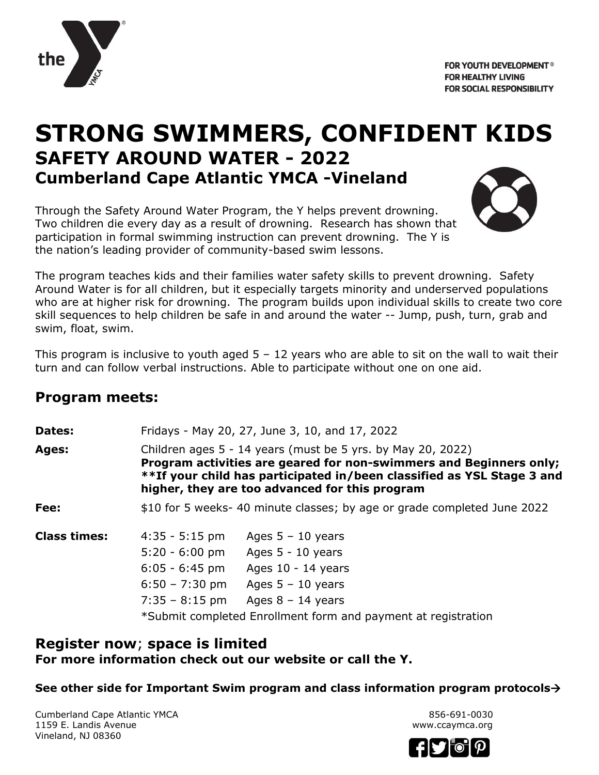

# **STRONG SWIMMERS, CONFIDENT KIDS SAFETY AROUND WATER - 2022 Cumberland Cape Atlantic YMCA -Vineland**

Through the Safety Around Water Program, the Y helps prevent drowning. Two children die every day as a result of drowning. Research has shown that participation in formal swimming instruction can prevent drowning. The Y is the nation's leading provider of community-based swim lessons.



The program teaches kids and their families water safety skills to prevent drowning. Safety Around Water is for all children, but it especially targets minority and underserved populations who are at higher risk for drowning. The program builds upon individual skills to create two core skill sequences to help children be safe in and around the water -- Jump, push, turn, grab and swim, float, swim.

This program is inclusive to youth aged  $5 - 12$  years who are able to sit on the wall to wait their turn and can follow verbal instructions. Able to participate without one on one aid.

## **Program meets:**

**Dates:** Fridays - May 20, 27, June 3, 10, and 17, 2022 **Ages:** Children ages 5 - 14 years (must be 5 yrs. by May 20, 2022) **Program activities are geared for non-swimmers and Beginners only; \*\*If your child has participated in/been classified as YSL Stage 3 and higher, they are too advanced for this program Fee:** \$10 for 5 weeks- 40 minute classes; by age or grade completed June 2022 **Class times:** 4:35 - 5:15 pm Ages 5 – 10 years 5:20 - 6:00 pm Ages 5 - 10 years 6:05 - 6:45 pm Ages 10 - 14 years 6:50 – 7:30 pm Ages 5 – 10 years  $7:35 - 8:15$  pm Ages  $8 - 14$  years \*Submit completed Enrollment form and payment at registration

### **Register now**; **space is limited For more information check out our website or call the Y.**

**See other side for Important Swim program and class information program protocols**

Cumberland Cape Atlantic YMCA 856-691-0030 1159 E. Landis Avenue www.ccaymca.org Vineland, NJ 08360